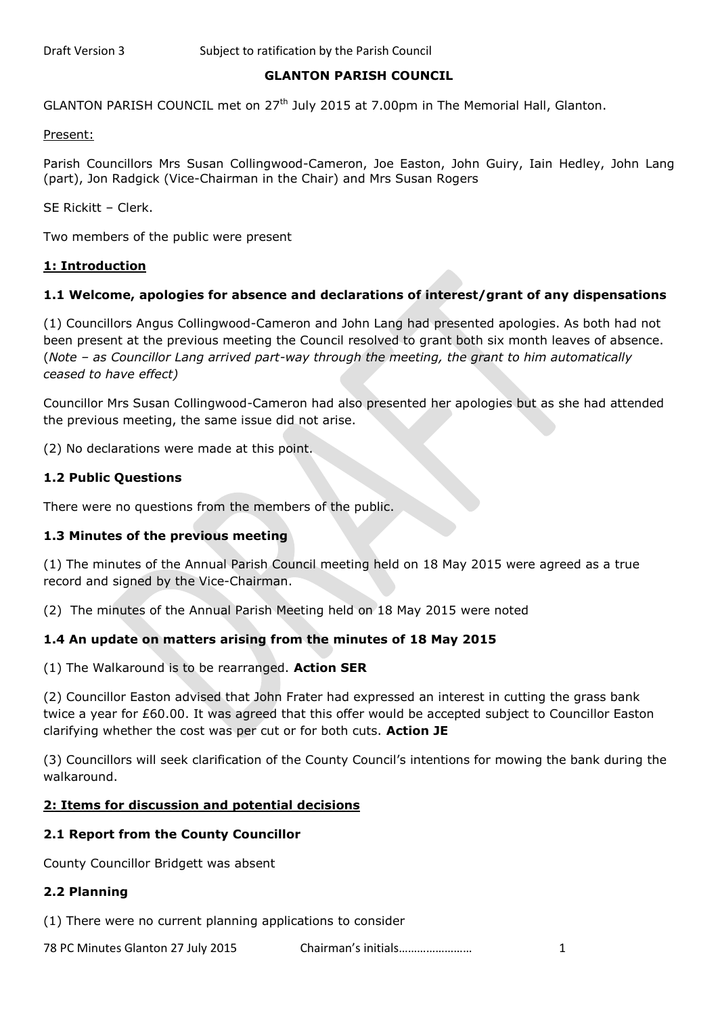### **GLANTON PARISH COUNCIL**

GLANTON PARISH COUNCIL met on 27<sup>th</sup> July 2015 at 7.00pm in The Memorial Hall, Glanton.

Present:

Parish Councillors Mrs Susan Collingwood-Cameron, Joe Easton, John Guiry, Iain Hedley, John Lang (part), Jon Radgick (Vice-Chairman in the Chair) and Mrs Susan Rogers

SE Rickitt – Clerk.

Two members of the public were present

#### **1: Introduction**

### **1.1 Welcome, apologies for absence and declarations of interest/grant of any dispensations**

(1) Councillors Angus Collingwood-Cameron and John Lang had presented apologies. As both had not been present at the previous meeting the Council resolved to grant both six month leaves of absence. (*Note – as Councillor Lang arrived part-way through the meeting, the grant to him automatically ceased to have effect)*

Councillor Mrs Susan Collingwood-Cameron had also presented her apologies but as she had attended the previous meeting, the same issue did not arise.

(2) No declarations were made at this point.

#### **1.2 Public Questions**

There were no questions from the members of the public.

### **1.3 Minutes of the previous meeting**

(1) The minutes of the Annual Parish Council meeting held on 18 May 2015 were agreed as a true record and signed by the Vice-Chairman.

(2) The minutes of the Annual Parish Meeting held on 18 May 2015 were noted

### **1.4 An update on matters arising from the minutes of 18 May 2015**

(1) The Walkaround is to be rearranged. **Action SER**

(2) Councillor Easton advised that John Frater had expressed an interest in cutting the grass bank twice a year for £60.00. It was agreed that this offer would be accepted subject to Councillor Easton clarifying whether the cost was per cut or for both cuts. **Action JE**

(3) Councillors will seek clarification of the County Council's intentions for mowing the bank during the walkaround.

#### **2: Items for discussion and potential decisions**

### **2.1 Report from the County Councillor**

County Councillor Bridgett was absent

### **2.2 Planning**

(1) There were no current planning applications to consider

78 PC Minutes Glanton 27 July 2015 Chairman's initials…………………… 1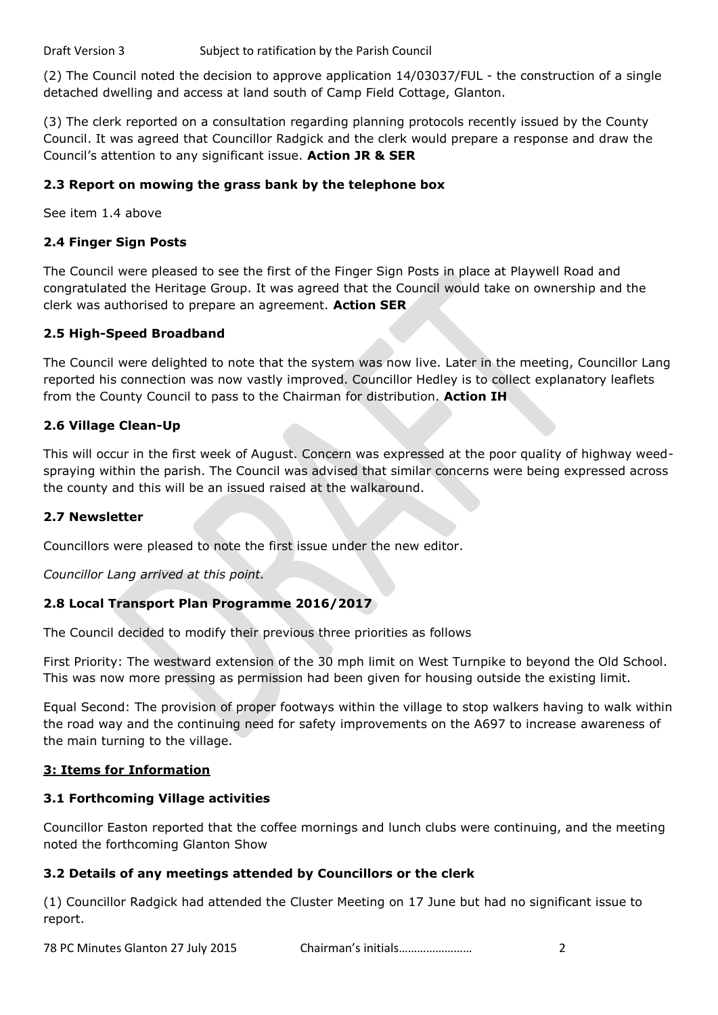(2) The Council noted the decision to approve application 14/03037/FUL - the construction of a single detached dwelling and access at land south of Camp Field Cottage, Glanton.

(3) The clerk reported on a consultation regarding planning protocols recently issued by the County Council. It was agreed that Councillor Radgick and the clerk would prepare a response and draw the Council's attention to any significant issue. **Action JR & SER**

# **2.3 Report on mowing the grass bank by the telephone box**

See item 1.4 above

# **2.4 Finger Sign Posts**

The Council were pleased to see the first of the Finger Sign Posts in place at Playwell Road and congratulated the Heritage Group. It was agreed that the Council would take on ownership and the clerk was authorised to prepare an agreement. **Action SER**

# **2.5 High-Speed Broadband**

The Council were delighted to note that the system was now live. Later in the meeting, Councillor Lang reported his connection was now vastly improved. Councillor Hedley is to collect explanatory leaflets from the County Council to pass to the Chairman for distribution. **Action IH**

# **2.6 Village Clean-Up**

This will occur in the first week of August. Concern was expressed at the poor quality of highway weedspraying within the parish. The Council was advised that similar concerns were being expressed across the county and this will be an issued raised at the walkaround.

# **2.7 Newsletter**

Councillors were pleased to note the first issue under the new editor.

*Councillor Lang arrived at this point.*

# **2.8 Local Transport Plan Programme 2016/2017**

The Council decided to modify their previous three priorities as follows

First Priority: The westward extension of the 30 mph limit on West Turnpike to beyond the Old School. This was now more pressing as permission had been given for housing outside the existing limit.

Equal Second: The provision of proper footways within the village to stop walkers having to walk within the road way and the continuing need for safety improvements on the A697 to increase awareness of the main turning to the village.

# **3: Items for Information**

# **3.1 Forthcoming Village activities**

Councillor Easton reported that the coffee mornings and lunch clubs were continuing, and the meeting noted the forthcoming Glanton Show

# **3.2 Details of any meetings attended by Councillors or the clerk**

(1) Councillor Radgick had attended the Cluster Meeting on 17 June but had no significant issue to report.